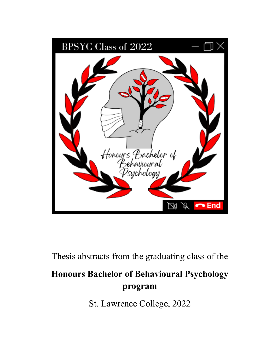

Thesis abstracts from the graduating class of the

# **Honours Bachelor of Behavioural Psychology program**

St. Lawrence College, 2022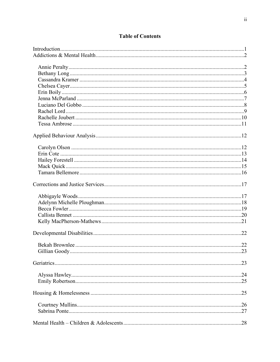# **Table of Contents**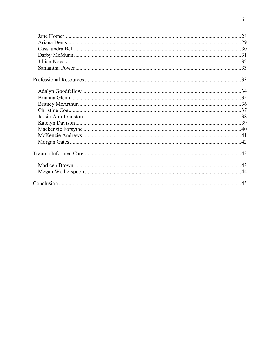<span id="page-2-0"></span>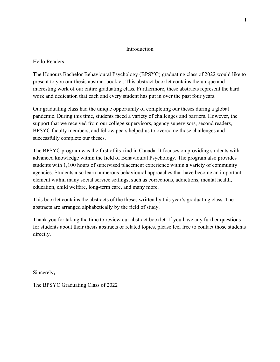# Introduction

# Hello Readers,

The Honours Bachelor Behavioural Psychology (BPSYC) graduating class of 2022 would like to present to you our thesis abstract booklet. This abstract booklet contains the unique and interesting work of our entire graduating class. Furthermore, these abstracts represent the hard work and dedication that each and every student has put in over the past four years.

Our graduating class had the unique opportunity of completing our theses during a global pandemic. During this time, students faced a variety of challenges and barriers. However, the support that we received from our college supervisors, agency supervisors, second readers, BPSYC faculty members, and fellow peers helped us to overcome those challenges and successfully complete our theses.

The BPSYC program was the first of its kind in Canada. It focuses on providing students with advanced knowledge within the field of Behavioural Psychology. The program also provides students with 1,100 hours of supervised placement experience within a variety of community agencies. Students also learn numerous behavioural approaches that have become an important element within many social service settings, such as corrections, addictions, mental health, education, child welfare, long-term care, and many more.

This booklet contains the abstracts of the theses written by this year's graduating class. The abstracts are arranged alphabetically by the field of study.

Thank you for taking the time to review our abstract booklet. If you have any further questions for students about their thesis abstracts or related topics, please feel free to contact those students directly.

Sincerely**,** 

The BPSYC Graduating Class of 2022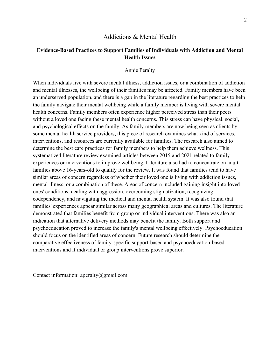### Addictions & Mental Health

# <span id="page-4-0"></span>**Evidence-Based Practices to Support Families of Individuals with Addiction and Mental Health Issues**

### Annie Peralty

<span id="page-4-1"></span>When individuals live with severe mental illness, addiction issues, or a combination of addiction and mental illnesses, the wellbeing of their families may be affected. Family members have been an underserved population, and there is a gap in the literature regarding the best practices to help the family navigate their mental wellbeing while a family member is living with severe mental health concerns. Family members often experience higher perceived stress than their peers without a loved one facing these mental health concerns. This stress can have physical, social, and psychological effects on the family. As family members are now being seen as clients by some mental health service providers, this piece of research examines what kind of services, interventions, and resources are currently available for families. The research also aimed to determine the best care practices for family members to help them achieve wellness. This systematized literature review examined articles between 2015 and 2021 related to family experiences or interventions to improve wellbeing. Literature also had to concentrate on adult families above 16-years-old to qualify for the review. It was found that families tend to have similar areas of concern regardless of whether their loved one is living with addiction issues, mental illness, or a combination of these. Areas of concern included gaining insight into loved ones' conditions, dealing with aggression, overcoming stigmatization, recognizing codependency, and navigating the medical and mental health system. It was also found that families' experiences appear similar across many geographical areas and cultures. The literature demonstrated that families benefit from group or individual interventions. There was also an indication that alternative delivery methods may benefit the family. Both support and psychoeducation proved to increase the family's mental wellbeing effectively. Psychoeducation should focus on the identified areas of concern. Future research should determine the comparative effectiveness of family-specific support-based and psychoeducation-based interventions and if individual or group interventions prove superior.

Contact information: aperalty@gmail.com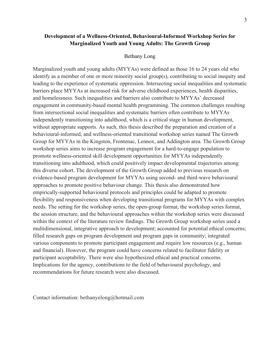# **Development of a Wellness-Oriented, Behavioural-Informed Workshop Series for Marginalized Youth and Young Adults: The Growth Group**

#### Bethany Long

<span id="page-5-0"></span>Marginalized youth and young adults (MYYAs) were defined as those 16 to 24 years old who identify as a member of one or more minority social group(s), contributing to social inequity and leading to the experience of systematic oppression. Intersecting social inequalities and systematic barriers place MYYAs at increased risk for adverse childhood experiences, health disparities, and homelessness. Such inequalities and barriers also contribute to MYYAs' decreased engagement in community-based mental health programming. The common challenges resulting from intersectional social inequalities and systematic barriers often contribute to MYYAs independently transitioning into adulthood, which is a critical stage in human development, without appropriate supports. As such, this thesis described the preparation and creation of a behavioural-informed, and wellness-oriented transitional workshop series named The Growth Group for MYYAs in the Kingston, Frontenac, Lennox, and Addington area. The Growth Group workshop series aims to increase program engagement for a hard-to-engage population to promote wellness-oriented skill development opportunities for MYYAs independently transitioning into adulthood, which could positively impact developmental trajectories among this diverse cohort. The development of the Growth Group added to previous research on evidence-based program development for MYYAs using second- and third-wave behavioural approaches to promote positive behaviour change. This thesis also demonstrated how empirically-supported behavioural protocols and principles could be adapted to promote flexibility and responsiveness when developing transitional programs for MYYAs with complex needs. The setting for the workshop series, the open-group format, the workshop series format, the session structure, and the behavioural approaches within the workshop series were discussed within the context of the literature review findings. The Growth Group workshop series used a multidimensional, integrative approach to development; accounted for potential ethical concerns; filled research gaps on program development and program gaps in community; integrated various components to promote participant engagement and require low resources (e.g., human and financial). However, the program could have concerns related to facilitator fidelity or participant acceptability. There were also hypothesized ethical and practical concerns. Implications for the agency, contributions to the field of behavioural psychology, and recommendations for future research were also discussed.

Contact information: bethanyelong@hotmail.com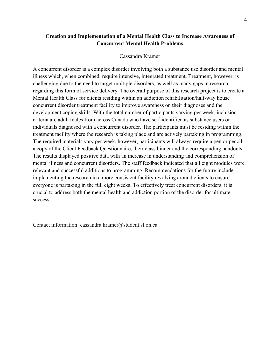# **Creation and Implementation of a Mental Health Class to Increase Awareness of Concurrent Mental Health Problems**

# Cassandra Kramer

<span id="page-6-0"></span>A concurrent disorder is a complex disorder involving both a substance use disorder and mental illness which, when combined, require intensive, integrated treatment. Treatment, however, is challenging due to the need to target multiple disorders, as well as many gaps in research regarding this form of service delivery. The overall purpose of this research project is to create a Mental Health Class for clients residing within an addiction rehabilitation/half-way house concurrent disorder treatment facility to improve awareness on their diagnoses and the development coping skills. With the total number of participants varying per week, inclusion criteria are adult males from across Canada who have self-identified as substance users or individuals diagnosed with a concurrent disorder. The participants must be residing within the treatment facility where the research is taking place and are actively partaking in programming. The required materials vary per week, however, participants will always require a pen or pencil, a copy of the Client Feedback Questionnaire, their class binder and the corresponding handouts. The results displayed positive data with an increase in understanding and comprehension of mental illness and concurrent disorders. The staff feedback indicated that all eight modules were relevant and successful additions to programming. Recommendations for the future include implementing the research in a more consistent facility revolving around clients to ensure everyone is partaking in the full eight weeks. To effectively treat concurrent disorders, it is crucial to address both the mental health and addiction portion of the disorder for ultimate success.

Contact information: cassandra.kramer@student.sl.on.ca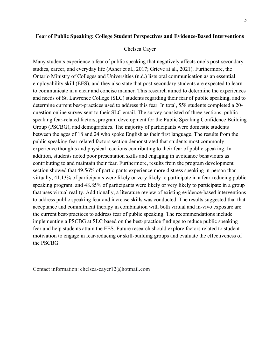# <span id="page-7-0"></span>**Fear of Public Speaking: College Student Perspectives and Evidence-Based Interventions**

#### Chelsea Cayer

Many students experience a fear of public speaking that negatively affects one's post-secondary studies, career, and everyday life (Asher et al., 2017; Grieve at al., 2021). Furthermore, the Ontario Ministry of Colleges and Universities (n.d.) lists oral communication as an essential employability skill (EES), and they also state that post-secondary students are expected to learn to communicate in a clear and concise manner. This research aimed to determine the experiences and needs of St. Lawrence College (SLC) students regarding their fear of public speaking, and to determine current best-practices used to address this fear. In total, 558 students completed a 20 question online survey sent to their SLC email. The survey consisted of three sections: public speaking fear-related factors, program development for the Public Speaking Confidence Building Group (PSCBG), and demographics. The majority of participants were domestic students between the ages of 18 and 24 who spoke English as their first language. The results from the public speaking fear-related factors section demonstrated that students most commonly experience thoughts and physical reactions contributing to their fear of public speaking. In addition, students noted poor presentation skills and engaging in avoidance behaviours as contributing to and maintain their fear. Furthermore, results from the program development section showed that 49.56% of participants experience more distress speaking in-person than virtually, 41.13% of participants were likely or very likely to participate in a fear-reducing public speaking program, and 48.85% of participants were likely or very likely to participate in a group that uses virtual reality. Additionally, a literature review of existing evidence-based interventions to address public speaking fear and increase skills was conducted. The results suggested that that acceptance and commitment therapy in combination with both virtual and in-vivo exposure are the current best-practices to address fear of public speaking. The recommendations include implementing a PSCBG at SLC based on the best-practice findings to reduce public speaking fear and help students attain the EES. Future research should explore factors related to student motivation to engage in fear-reducing or skill-building groups and evaluate the effectiveness of the PSCBG.

Contact information: chelsea-cayer12@hotmail.com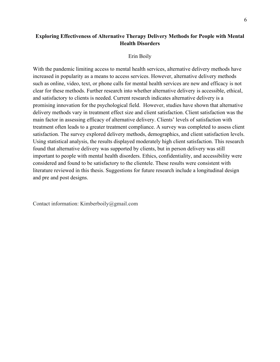# **Exploring Effectiveness of Alternative Therapy Delivery Methods for People with Mental Health Disorders**

#### Erin Boily

<span id="page-8-0"></span>With the pandemic limiting access to mental health services, alternative delivery methods have increased in popularity as a means to access services. However, alternative delivery methods such as online, video, text, or phone calls for mental health services are new and efficacy is not clear for these methods. Further research into whether alternative delivery is accessible, ethical, and satisfactory to clients is needed. Current research indicates alternative delivery is a promising innovation for the psychological field. However, studies have shown that alternative delivery methods vary in treatment effect size and client satisfaction. Client satisfaction was the main factor in assessing efficacy of alternative delivery. Clients' levels of satisfaction with treatment often leads to a greater treatment compliance. A survey was completed to assess client satisfaction. The survey explored delivery methods, demographics, and client satisfaction levels. Using statistical analysis, the results displayed moderately high client satisfaction. This research found that alternative delivery was supported by clients, but in person delivery was still important to people with mental health disorders. Ethics, confidentiality, and accessibility were considered and found to be satisfactory to the clientele. These results were consistent with literature reviewed in this thesis. Suggestions for future research include a longitudinal design and pre and post designs.

Contact information: Kimberboily@gmail.com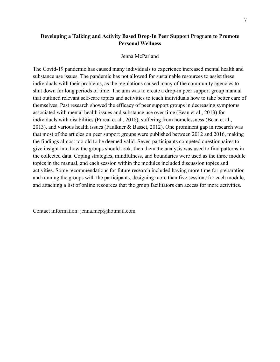# **Developing a Talking and Activity Based Drop-In Peer Support Program to Promote Personal Wellness**

### Jenna McParland

<span id="page-9-0"></span>The Covid-19 pandemic has caused many individuals to experience increased mental health and substance use issues. The pandemic has not allowed for sustainable resources to assist these individuals with their problems, as the regulations caused many of the community agencies to shut down for long periods of time. The aim was to create a drop-in peer support group manual that outlined relevant self-care topics and activities to teach individuals how to take better care of themselves. Past research showed the efficacy of peer support groups in decreasing symptoms associated with mental health issues and substance use over time (Bean et al., 2013) for individuals with disabilities (Purcal et al., 2018), suffering from homelessness (Bean et al., 2013), and various health issues (Faulkner & Basset, 2012). One prominent gap in research was that most of the articles on peer support groups were published between 2012 and 2016, making the findings almost too old to be deemed valid. Seven participants competed questionnaires to give insight into how the groups should look, then thematic analysis was used to find patterns in the collected data. Coping strategies, mindfulness, and boundaries were used as the three module topics in the manual, and each session within the modules included discussion topics and activities. Some recommendations for future research included having more time for preparation and running the groups with the participants, designing more than five sessions for each module, and attaching a list of online resources that the group facilitators can access for more activities.

Contact information: jenna.mcp@hotmail.com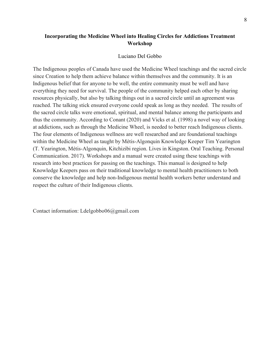# **Incorporating the Medicine Wheel into Healing Circles for Addictions Treatment Workshop**

#### Luciano Del Gobbo

<span id="page-10-0"></span>The Indigenous peoples of Canada have used the Medicine Wheel teachings and the sacred circle since Creation to help them achieve balance within themselves and the community. It is an Indigenous belief that for anyone to be well, the entire community must be well and have everything they need for survival. The people of the community helped each other by sharing resources physically, but also by talking things out in a sacred circle until an agreement was reached. The talking stick ensured everyone could speak as long as they needed. The results of the sacred circle talks were emotional, spiritual, and mental balance among the participants and thus the community. According to Conant (2020) and Vicks et al. (1998) a novel way of looking at addictions, such as through the Medicine Wheel, is needed to better reach Indigenous clients. The four elements of Indigenous wellness are well researched and are foundational teachings within the Medicine Wheel as taught by Métis-Algonquin Knowledge Keeper Tim Yearington (T. Yearington, Métis-Algonquin, Kitchizibi region. Lives in Kingston. Oral Teaching. Personal Communication. 2017). Workshops and a manual were created using these teachings with research into best practices for passing on the teachings. This manual is designed to help Knowledge Keepers pass on their traditional knowledge to mental health practitioners to both conserve the knowledge and help non-Indigenous mental health workers better understand and respect the culture of their Indigenous clients.

Contact information: Ldelgobbo06@gmail.com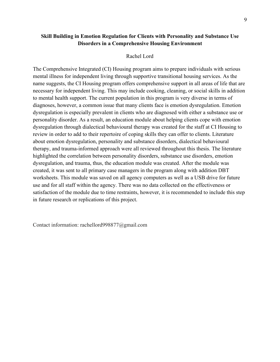# **Skill Building in Emotion Regulation for Clients with Personality and Substance Use Disorders in a Comprehensive Housing Environment**

#### Rachel Lord

<span id="page-11-0"></span>The Comprehensive Integrated (CI) Housing program aims to prepare individuals with serious mental illness for independent living through supportive transitional housing services. As the name suggests, the CI Housing program offers comprehensive support in all areas of life that are necessary for independent living. This may include cooking, cleaning, or social skills in addition to mental health support. The current population in this program is very diverse in terms of diagnoses, however, a common issue that many clients face is emotion dysregulation. Emotion dysregulation is especially prevalent in clients who are diagnosed with either a substance use or personality disorder. As a result, an education module about helping clients cope with emotion dysregulation through dialectical behavioural therapy was created for the staff at CI Housing to review in order to add to their repertoire of coping skills they can offer to clients. Literature about emotion dysregulation, personality and substance disorders, dialectical behavioural therapy, and trauma-informed approach were all reviewed throughout this thesis. The literature highlighted the correlation between personality disorders, substance use disorders, emotion dysregulation, and trauma, thus, the education module was created. After the module was created, it was sent to all primary case managers in the program along with addition DBT worksheets. This module was saved on all agency computers as well as a USB drive for future use and for all staff within the agency. There was no data collected on the effectiveness or satisfaction of the module due to time restraints, however, it is recommended to include this step in future research or replications of this project.

Contact information: rachellord998877@gmail.com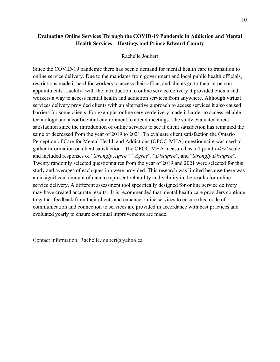# **Evaluating Online Services Through the COVID-19 Pandemic in Addiction and Mental Health Services – Hastings and Prince Edward County**

### Rachelle Joubert

<span id="page-12-0"></span>Since the COVID-19 pandemic there has been a demand for mental health care to transition to online service delivery. Due to the mandates from government and local public health officials, restrictions made it hard for workers to access their office, and clients go to their in-person appointments. Luckily, with the introduction to online service delivery it provided clients and workers a way to access mental health and addiction services from anywhere. Although virtual services delivery provided clients with an alternative approach to access services it also caused barriers for some clients. For example, online service delivery made it harder to access reliable technology and a confidential environment to attend meetings. The study evaluated client satisfaction since the introduction of online services to see if client satisfaction has remained the same or decreased from the year of 2019 to 2021. To evaluate client satisfaction the Ontario Perception of Care for Mental Health and Addictions (OPOC-MHA) questionnaire was used to gather information on client satisfaction. The OPOC-MHA measure has a 4-point *Likert* scale and included responses of "*Strongly Agree",* "*Agree*", "*Disagree*", and "*Strongly Disagree*". Twenty randomly selected questionnaires from the year of 2019 and 2021 were selected for this study and averages of each question were provided. This research was limited because there was an insignificant amount of data to represent reliability and validity in the results for online service delivery. A different assessment tool specifically designed for online service delivery may have created accurate results. It is recommended that mental health care providers continue to gather feedback from their clients and enhance online services to ensure this mode of communication and connection to services are provided in accordance with best practices and evaluated yearly to ensure continual improvements are made.

Contact information: Rachelle.joubert@yahoo.ca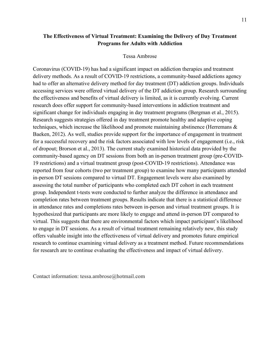# **The Effectiveness of Virtual Treatment: Examining the Delivery of Day Treatment Programs for Adults with Addiction**

### Tessa Ambrose

<span id="page-13-0"></span>Coronavirus (COVID-19) has had a significant impact on addiction therapies and treatment delivery methods. As a result of COVID-19 restrictions, a community-based addictions agency had to offer an alternative delivery method for day treatment (DT) addiction groups. Individuals accessing services were offered virtual delivery of the DT addiction group. Research surrounding the effectiveness and benefits of virtual delivery is limited, as it is currently evolving. Current research does offer support for community-based interventions in addiction treatment and significant change for individuals engaging in day treatment programs (Bergman et al., 2015). Research suggests strategies offered in day treatment promote healthy and adaptive coping techniques, which increase the likelihood and promote maintaining abstinence (Herremans & Baeken, 2012). As well, studies provide support for the importance of engagement in treatment for a successful recovery and the risk factors associated with low levels of engagement (i.e., risk of dropout; Brorson et al., 2013). The current study examined historical data provided by the community-based agency on DT sessions from both an in-person treatment group (pre-COVID-19 restrictions) and a virtual treatment group (post-COVID-19 restrictions). Attendance was reported from four cohorts (two per treatment group) to examine how many participants attended in-person DT sessions compared to virtual DT. Engagement levels were also examined by assessing the total number of participants who completed each DT cohort in each treatment group. Independent t-tests were conducted to further analyze the difference in attendance and completion rates between treatment groups. Results indicate that there is a statistical difference in attendance rates and completions rates between in-person and virtual treatment groups. It is hypothesized that participants are more likely to engage and attend in-person DT compared to virtual. This suggests that there are environmental factors which impact participant's likelihood to engage in DT sessions. As a result of virtual treatment remaining relatively new, this study offers valuable insight into the effectiveness of virtual delivery and promotes future empirical research to continue examining virtual delivery as a treatment method. Future recommendations for research are to continue evaluating the effectiveness and impact of virtual delivery.

<span id="page-13-1"></span>Contact information: tessa.ambrose@hotmail.com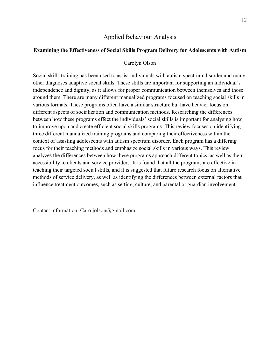# Applied Behaviour Analysis

### <span id="page-14-0"></span>**Examining the Effectiveness of Social Skills Program Delivery for Adolescents with Autism**

#### Carolyn Olson

Social skills training has been used to assist individuals with autism spectrum disorder and many other diagnoses adaptive social skills. These skills are important for supporting an individual's independence and dignity, as it allows for proper communication between themselves and those around them. There are many different manualized programs focused on teaching social skills in various formats. These programs often have a similar structure but have heavier focus on different aspects of socialization and communication methods. Researching the differences between how these programs effect the individuals' social skills is important for analysing how to improve upon and create efficient social skills programs. This review focuses on identifying three different manualized training programs and comparing their effectiveness within the context of assisting adolescents with autism spectrum disorder. Each program has a differing focus for their teaching methods and emphasize social skills in various ways. This review analyzes the differences between how these programs approach different topics, as well as their accessibility to clients and service providers. It is found that all the programs are effective in teaching their targeted social skills, and it is suggested that future research focus on alternative methods of service delivery, as well as identifying the differences between external factors that influence treatment outcomes, such as setting, culture, and parental or guardian involvement.

Contact information: Caro.jolson@gmail.com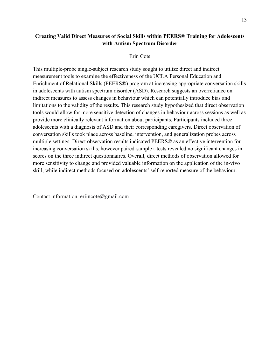# **Creating Valid Direct Measures of Social Skills within PEERS® Training for Adolescents with Autism Spectrum Disorder**

#### Erin Cote

<span id="page-15-0"></span>This multiple-probe single-subject research study sought to utilize direct and indirect measurement tools to examine the effectiveness of the UCLA Personal Education and Enrichment of Relational Skills (PEERS®) program at increasing appropriate conversation skills in adolescents with autism spectrum disorder (ASD). Research suggests an overreliance on indirect measures to assess changes in behaviour which can potentially introduce bias and limitations to the validity of the results. This research study hypothesized that direct observation tools would allow for more sensitive detection of changes in behaviour across sessions as well as provide more clinically relevant information about participants. Participants included three adolescents with a diagnosis of ASD and their corresponding caregivers. Direct observation of conversation skills took place across baseline, intervention, and generalization probes across multiple settings. Direct observation results indicated PEERS® as an effective intervention for increasing conversation skills, however paired-sample t-tests revealed no significant changes in scores on the three indirect questionnaires. Overall, direct methods of observation allowed for more sensitivity to change and provided valuable information on the application of the in-vivo skill, while indirect methods focused on adolescents' self-reported measure of the behaviour.

Contact information: eriincote@gmail.com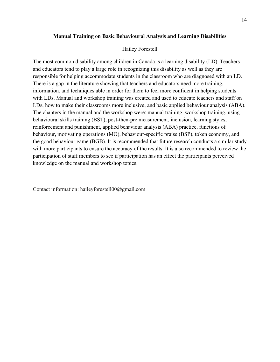#### **Manual Training on Basic Behavioural Analysis and Learning Disabilities**

#### Hailey Forestell

<span id="page-16-0"></span>The most common disability among children in Canada is a learning disability (LD). Teachers and educators tend to play a large role in recognizing this disability as well as they are responsible for helping accommodate students in the classroom who are diagnosed with an LD. There is a gap in the literature showing that teachers and educators need more training, information, and techniques able in order for them to feel more confident in helping students with LDs. Manual and workshop training was created and used to educate teachers and staff on LDs, how to make their classrooms more inclusive, and basic applied behaviour analysis (ABA). The chapters in the manual and the workshop were: manual training, workshop training, using behavioural skills training (BST), post-then-pre measurement, inclusion, learning styles, reinforcement and punishment, applied behaviour analysis (ABA) practice, functions of behaviour, motivating operations (MO), behaviour-specific praise (BSP), token economy, and the good behaviour game (BGB). It is recommended that future research conducts a similar study with more participants to ensure the accuracy of the results. It is also recommended to review the participation of staff members to see if participation has an effect the participants perceived knowledge on the manual and workshop topics.

Contact information: haileyforestell00@gmail.com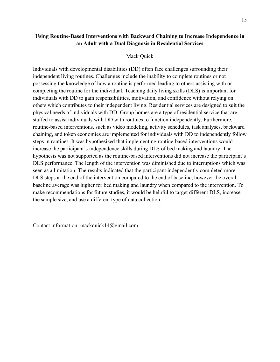# **Using Routine-Based Interventions with Backward Chaining to Increase Independence in an Adult with a Dual Diagnosis in Residential Services**

### Mack Quick

<span id="page-17-0"></span>Individuals with developmental disabilities (DD) often face challenges surrounding their independent living routines. Challenges include the inability to complete routines or not possessing the knowledge of how a routine is performed leading to others assisting with or completing the routine for the individual. Teaching daily living skills (DLS) is important for individuals with DD to gain responsibilities, motivation, and confidence without relying on others which contributes to their independent living. Residential services are designed to suit the physical needs of individuals with DD. Group homes are a type of residential service that are staffed to assist individuals with DD with routines to function independently. Furthermore, routine-based interventions, such as video modeling, activity schedules, task analyses, backward chaining, and token economies are implemented for individuals with DD to independently follow steps in routines. It was hypothesized that implementing routine-based interventions would increase the participant's independence skills during DLS of bed making and laundry. The hypothesis was not supported as the routine-based interventions did not increase the participant's DLS performance. The length of the intervention was diminished due to interruptions which was seen as a limitation. The results indicated that the participant independently completed more DLS steps at the end of the intervention compared to the end of baseline, however the overall baseline average was higher for bed making and laundry when compared to the intervention. To make recommendations for future studies, it would be helpful to target different DLS, increase the sample size, and use a different type of data collection.

Contact information: mackquick14@gmail.com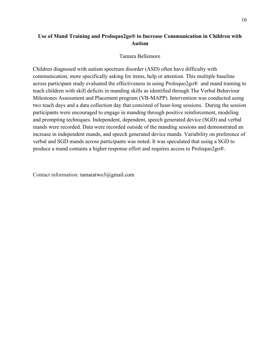# **Use of Mand Training and Proloquo2go® to Increase Communication in Children with Autism**

# Tamara Bellemore

<span id="page-18-0"></span>Children diagnosed with autism spectrum disorder (ASD) often have difficulty with communication, more specifically asking for items, help or attention. This multiple baseline across participant study evaluated the effectiveness in using Proloquo2go® and mand training to teach children with skill deficits in manding skills as identified through The Verbal Behaviour Milestones Assessment and Placement program (VB-MAPP). Intervention was conducted using two teach days and a data collection day that consisted of hour-long sessions. During the session participants were encouraged to engage in manding through positive reinforcement, modeling and prompting techniques. Independent, dependent, speech generated device (SGD) and verbal mands were recorded. Data were recorded outside of the manding sessions and demonstrated an increase in independent mands, and speech generated device mands. Variability on preference of verbal and SGD mands across participants was noted. It was speculated that using a SGD to produce a mand contains a higher response effort and requires access to Proloquo2go®.

<span id="page-18-1"></span>Contact information: tamaratwo3@gmail.com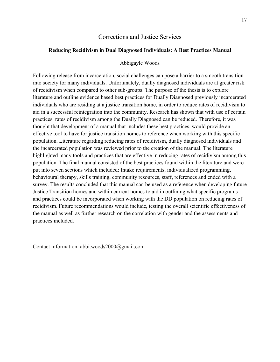# Corrections and Justice Services

# <span id="page-19-0"></span>**Reducing Recidivism in Dual Diagnosed Individuals: A Best Practices Manual**

#### Abbigayle Woods

Following release from incarceration, social challenges can pose a barrier to a smooth transition into society for many individuals. Unfortunately, dually diagnosed individuals are at greater risk of recidivism when compared to other sub-groups. The purpose of the thesis is to explore literature and outline evidence based best practices for Dually Diagnosed previously incarcerated individuals who are residing at a justice transition home, in order to reduce rates of recidivism to aid in a successful reintegration into the community. Research has shown that with use of certain practices, rates of recidivism among the Dually Diagnosed can be reduced. Therefore, it was thought that development of a manual that includes these best practices, would provide an effective tool to have for justice transition homes to reference when working with this specific population. Literature regarding reducing rates of recidivism, dually diagnosed individuals and the incarcerated population was reviewed prior to the creation of the manual. The literature highlighted many tools and practices that are effective in reducing rates of recidivism among this population. The final manual consisted of the best practices found within the literature and were put into seven sections which included: Intake requirements, individualized programming, behavioural therapy, skills training, community resources, staff, references and ended with a survey. The results concluded that this manual can be used as a reference when developing future Justice Transition homes and within current homes to aid in outlining what specific programs and practices could be incorporated when working with the DD population on reducing rates of recidivism. Future recommendations would include, testing the overall scientific effectiveness of the manual as well as further research on the correlation with gender and the assessments and practices included.

Contact information: abbi.woods2000@gmail.com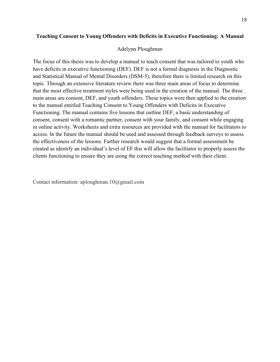#### <span id="page-20-0"></span>**Teaching Consent to Young Offenders with Deficits in Executive Functioning: A Manual**

#### Adelynn Ploughman

The focus of this thesis was to develop a manual to teach consent that was tailored to youth who have deficits in executive functioning (DEF). DEF is not a formal diagnosis in the Diagnostic and Statistical Manual of Mental Disorders (DSM-5), therefore there is limited research on this topic. Through an extensive literature review there was three main areas of focus to determine that the most effective treatment styles were being used in the creation of the manual. The three main areas are consent, DEF, and youth offenders. These topics were then applied to the creation to the manual entitled Teaching Consent to Young Offenders with Deficits in Executive Functioning. The manual contains five lessons that outline DEF, a basic understanding of consent, consent with a romantic partner, consent with your family, and consent while engaging in online activity. Worksheets and extra resources are provided with the manual for facilitators to access. In the future the manual should be used and assessed through feedback surveys to assess the effectiveness of the lessons. Further research would suggest that a formal assessment be created as identify an individual's level of EF this will allow the facilitator to properly assess the clients functioning to ensure they are using the correct teaching method with their client.

Contact information: aploughman.10@gmail.com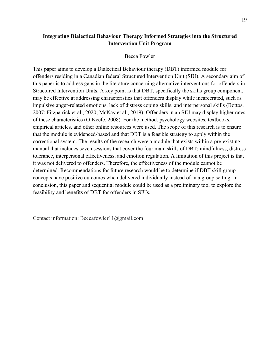# **Integrating Dialectical Behaviour Therapy Informed Strategies into the Structured Intervention Unit Program**

### Becca Fowler

<span id="page-21-0"></span>This paper aims to develop a Dialectical Behaviour therapy (DBT) informed module for offenders residing in a Canadian federal Structured Intervention Unit (SIU). A secondary aim of this paper is to address gaps in the literature concerning alternative interventions for offenders in Structured Intervention Units. A key point is that DBT, specifically the skills group component, may be effective at addressing characteristics that offenders display while incarcerated, such as impulsive anger-related emotions, lack of distress coping skills, and interpersonal skills (Bottos, 2007; Fitzpatrick et al., 2020; McKay et al., 2019). Offenders in an SIU may display higher rates of these characteristics (O'Keefe, 2008). For the method, psychology websites, textbooks, empirical articles, and other online resources were used. The scope of this research is to ensure that the module is evidenced-based and that DBT is a feasible strategy to apply within the correctional system. The results of the research were a module that exists within a pre-existing manual that includes seven sessions that cover the four main skills of DBT: mindfulness, distress tolerance, interpersonal effectiveness, and emotion regulation. A limitation of this project is that it was not delivered to offenders. Therefore, the effectiveness of the module cannot be determined. Recommendations for future research would be to determine if DBT skill group concepts have positive outcomes when delivered individually instead of in a group setting. In conclusion, this paper and sequential module could be used as a preliminary tool to explore the feasibility and benefits of DBT for offenders in SIUs.

Contact information: Beccafowler11@gmail.com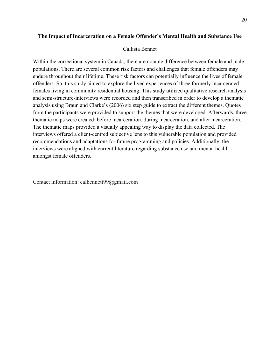# <span id="page-22-0"></span>**The Impact of Incarceration on a Female Offender's Mental Health and Substance Use**

#### Callista Bennet

Within the correctional system in Canada, there are notable difference between female and male populations. There are several common risk factors and challenges that female offenders may endure throughout their lifetime. These risk factors can potentially influence the lives of female offenders. So, this study aimed to explore the lived experiences of three formerly incarcerated females living in community residential housing. This study utilized qualitative research analysis and semi-structure-interviews were recorded and then transcribed in order to develop a thematic analysis using Braun and Clarke's (2006) six step guide to extract the different themes. Quotes from the participants were provided to support the themes that were developed. Afterwards, three thematic maps were created: before incarceration, during incarceration, and after incarceration. The thematic maps provided a visually appealing way to display the data collected. The interviews offered a client-centred subjective lens to this vulnerable population and provided recommendations and adaptations for future programming and policies. Additionally, the interviews were aligned with current literature regarding substance use and mental health amongst female offenders.

Contact information: calbennett99@gmail.com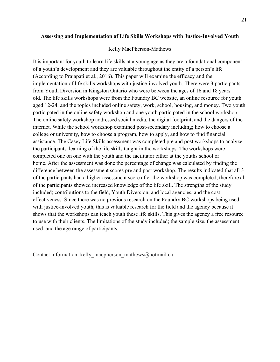### **Assessing and Implementation of Life Skills Workshops with Justice-Involved Youth**

#### Kelly MacPherson-Mathews

<span id="page-23-0"></span>It is important for youth to learn life skills at a young age as they are a foundational component of a youth's development and they are valuable throughout the entity of a person's life (According to Prajapati et al., 2016). This paper will examine the efficacy and the implementation of life skills workshops with justice-involved youth. There were 3 participants from Youth Diversion in Kingston Ontario who were between the ages of 16 and 18 years old. The life skills workshops were from the Foundry BC website, an online resource for youth aged 12-24, and the topics included online safety, work, school, housing, and money. Two youth participated in the online safety workshop and one youth participated in the school workshop. The online safety workshop addressed social media, the digital footprint, and the dangers of the internet. While the school workshop examined post-secondary including; how to choose a college or university, how to choose a program, how to apply, and how to find financial assistance. The Casey Life Skills assessment was completed pre and post workshops to analyze the participants' learning of the life skills taught in the workshops. The workshops were completed one on one with the youth and the facilitator either at the youths school or home. After the assessment was done the percentage of change was calculated by finding the difference between the assessment scores pre and post workshop. The results indicated that all 3 of the participants had a higher assessment score after the workshop was completed, therefore all of the participants showed increased knowledge of the life skill. The strengths of the study included; contributions to the field, Youth Diversion, and local agencies, and the cost effectiveness. Since there was no previous research on the Foundry BC workshops being used with justice-involved youth, this is valuable research for the field and the agency because it shows that the workshops can teach youth these life skills. This gives the agency a free resource to use with their clients. The limitations of the study included; the sample size, the assessment used, and the age range of participants.

<span id="page-23-1"></span>Contact information: kelly\_macpherson\_mathews@hotmail.ca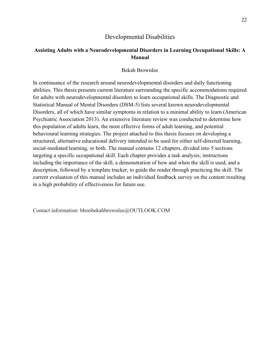# Developmental Disabilities

# **Assisting Adults with a Neurodevelopmental Disorders in Learning Occupational Skills: A Manual**

#### Bekah Brownlee

<span id="page-24-0"></span>In continuance of the research around neurodevelopmental disorders and daily functioning abilities. This thesis presents current literature surrounding the specific accommodations required for adults with neurodevelopmental disorders to learn occupational skills. The Diagnostic and Statistical Manual of Mental Disorders (DSM-5) lists several known neurodevelopmental Disorders, all of which have similar symptoms in relation to a minimal ability to learn (American Psychiatric Association 2013). An extensive literature review was conducted to determine how this population of adults learn, the most effective forms of adult learning, and potential behavioural learning strategies. The project attached to this thesis focuses on developing a structured, alternative educational delivery intended to be used for either self-directed learning, social-mediated learning, or both. The manual contains 12 chapters, divided into 5 sections targeting a specific occupational skill. Each chapter provides a task analysis; instructions including the importance of the skill, a demonstration of how and when the skill is used, and a description, followed by a template tracker, to guide the reader through practicing the skill. The current evaluation of this manual includes an individual feedback survey on the content resulting in a high probability of effectiveness for future use.

Contact information: bboobekahbrownlee@OUTLOOK.COM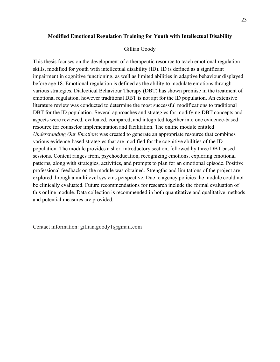### **Modified Emotional Regulation Training for Youth with Intellectual Disability**

#### Gillian Goody

<span id="page-25-0"></span>This thesis focuses on the development of a therapeutic resource to teach emotional regulation skills, modified for youth with intellectual disability (ID). ID is defined as a significant impairment in cognitive functioning, as well as limited abilities in adaptive behaviour displayed before age 18. Emotional regulation is defined as the ability to modulate emotions through various strategies. Dialectical Behaviour Therapy (DBT) has shown promise in the treatment of emotional regulation, however traditional DBT is not apt for the ID population. An extensive literature review was conducted to determine the most successful modifications to traditional DBT for the ID population. Several approaches and strategies for modifying DBT concepts and aspects were reviewed, evaluated, compared, and integrated together into one evidence-based resource for counselor implementation and facilitation. The online module entitled *Understanding Our Emotions* was created to generate an appropriate resource that combines various evidence-based strategies that are modified for the cognitive abilities of the ID population. The module provides a short introductory section, followed by three DBT based sessions. Content ranges from, psychoeducation, recognizing emotions, exploring emotional patterns, along with strategies, activities, and prompts to plan for an emotional episode. Positive professional feedback on the module was obtained. Strengths and limitations of the project are explored through a multilevel systems perspective. Due to agency policies the module could not be clinically evaluated. Future recommendations for research include the formal evaluation of this online module. Data collection is recommended in both quantitative and qualitative methods and potential measures are provided.

<span id="page-25-1"></span>Contact information: gillian.goody1@gmail.com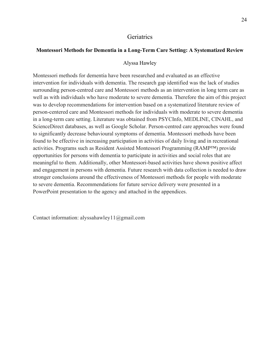### **Geriatrics**

#### <span id="page-26-0"></span>**Montessori Methods for Dementia in a Long-Term Care Setting: A Systematized Review**

#### Alyssa Hawley

Montessori methods for dementia have been researched and evaluated as an effective intervention for individuals with dementia. The research gap identified was the lack of studies surrounding person-centred care and Montessori methods as an intervention in long term care as well as with individuals who have moderate to severe dementia. Therefore the aim of this project was to develop recommendations for intervention based on a systematized literature review of person-centered care and Montessori methods for individuals with moderate to severe dementia in a long-term care setting. Literature was obtained from PSYCInfo, MEDLINE, CINAHL, and ScienceDirect databases, as well as Google Scholar. Person-centred care approaches were found to significantly decrease behavioural symptoms of dementia. Montessori methods have been found to be effective in increasing participation in activities of daily living and in recreational activities. Programs such as Resident Assisted Montessori Programming (RAMP™) provide opportunities for persons with dementia to participate in activities and social roles that are meaningful to them. Additionally, other Montessori-based activities have shown positive affect and engagement in persons with dementia. Future research with data collection is needed to draw stronger conclusions around the effectiveness of Montessori methods for people with moderate to severe dementia. Recommendations for future service delivery were presented in a PowerPoint presentation to the agency and attached in the appendices.

Contact information: alyssahawley11@gmail.com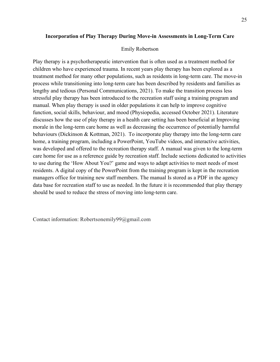### **Incorporation of Play Therapy During Move-in Assessments in Long-Term Care**

#### Emily Robertson

<span id="page-27-0"></span>Play therapy is a psychotherapeutic intervention that is often used as a treatment method for children who have experienced trauma. In recent years play therapy has been explored as a treatment method for many other populations, such as residents in long-term care. The move-in process while transitioning into long-term care has been described by residents and families as lengthy and tedious (Personal Communications, 2021). To make the transition process less stressful play therapy has been introduced to the recreation staff using a training program and manual. When play therapy is used in older populations it can help to improve cognitive function, social skills, behaviour, and mood (Physiopedia, accessed October 2021). Literature discusses how the use of play therapy in a health care setting has been beneficial at Improving morale in the long-term care home as well as decreasing the occurrence of potentially harmful behaviours (Dickinson & Kottman, 2021). To incorporate play therapy into the long-term care home, a training program, including a PowerPoint, YouTube videos, and interactive activities, was developed and offered to the recreation therapy staff. A manual was given to the long-term care home for use as a reference guide by recreation staff. Include sections dedicated to activities to use during the 'How About You?' game and ways to adapt activities to meet needs of most residents. A digital copy of the PowerPoint from the training program is kept in the recreation managers office for training new staff members. The manual Is stored as a PDF in the agency data base for recreation staff to use as needed. In the future it is recommended that play therapy should be used to reduce the stress of moving into long-term care.

<span id="page-27-1"></span>Contact information: Robertsonemily99@gmail.com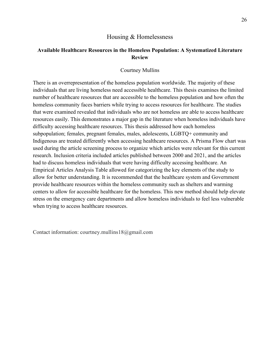# Housing & Homelessness

# **Available Healthcare Resources in the Homeless Population: A Systematized Literature Review**

#### Courtney Mullins

<span id="page-28-0"></span>There is an overrepresentation of the homeless population worldwide. The majority of these individuals that are living homeless need accessible healthcare. This thesis examines the limited number of healthcare resources that are accessible to the homeless population and how often the homeless community faces barriers while trying to access resources for healthcare. The studies that were examined revealed that individuals who are not homeless are able to access healthcare resources easily. This demonstrates a major gap in the literature when homeless individuals have difficulty accessing healthcare resources. This thesis addressed how each homeless subpopulation; females, pregnant females, males, adolescents, LGBTQ+ community and Indigenous are treated differently when accessing healthcare resources. A Prisma Flow chart was used during the article screening process to organize which articles were relevant for this current research. Inclusion criteria included articles published between 2000 and 2021, and the articles had to discuss homeless individuals that were having difficulty accessing healthcare. An Empirical Articles Analysis Table allowed for categorizing the key elements of the study to allow for better understanding. It is recommended that the healthcare system and Government provide healthcare resources within the homeless community such as shelters and warming centers to allow for accessible healthcare for the homeless. This new method should help elevate stress on the emergency care departments and allow homeless individuals to feel less vulnerable when trying to access healthcare resources.

Contact information: courtney.mullins18@gmail.com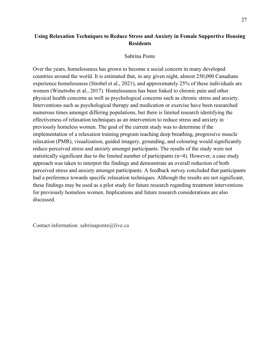#### Sabrina Ponte

<span id="page-29-0"></span>Over the years, homelessness has grown to become a social concern in many developed countries around the world. It is estimated that, in any given night, almost 250,000 Canadians experience homelessness (Strobel et al., 2021), and approximately 25% of these individuals are women (Winetrobe et al., 2017). Homelessness has been linked to chronic pain and other physical health concerns as well as psychological concerns such as chronic stress and anxiety. Interventions such as psychological therapy and medication or exercise have been researched numerous times amongst differing populations, but there is limited research identifying the effectiveness of relaxation techniques as an intervention to reduce stress and anxiety in previously homeless women. The goal of the current study was to determine if the implementation of a relaxation training program teaching deep breathing, progressive muscle relaxation (PMR), visualization, guided imagery, grounding, and colouring would significantly reduce perceived stress and anxiety amongst participants. The results of the study were not statistically significant due to the limited number of participants (n=4). However, a case study approach was taken to interpret the findings and demonstrate an overall reduction of both perceived stress and anxiety amongst participants. A feedback survey concluded that participants had a preference towards specific relaxation techniques. Although the results are not significant, these findings may be used as a pilot study for future research regarding treatment interventions for previously homeless women. Implications and future research considerations are also discussed.

<span id="page-29-1"></span>Contact information: sabrinaponte@live.ca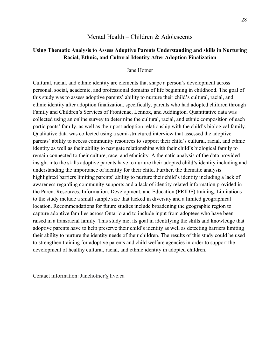# Mental Health – Children & Adolescents

# <span id="page-30-0"></span>**Using Thematic Analysis to Assess Adoptive Parents Understanding and skills in Nurturing Racial, Ethnic, and Cultural Identity After Adoption Finalization**

#### Jane Hotner

Cultural, racial, and ethnic identity are elements that shape a person's development across personal, social, academic, and professional domains of life beginning in childhood. The goal of this study was to assess adoptive parents' ability to nurture their child's cultural, racial, and ethnic identity after adoption finalization, specifically, parents who had adopted children through Family and Children's Services of Frontenac, Lennox, and Addington. Quantitative data was collected using an online survey to determine the cultural, racial, and ethnic composition of each participants' family, as well as their post-adoption relationship with the child's biological family. Qualitative data was collected using a semi-structured interview that assessed the adoptive parents' ability to access community resources to support their child's cultural, racial, and ethnic identity as well as their ability to navigate relationships with their child's biological family to remain connected to their culture, race, and ethnicity. A thematic analysis of the data provided insight into the skills adoptive parents have to nurture their adopted child's identity including and understanding the importance of identity for their child. Further, the thematic analysis highlighted barriers limiting parents' ability to nurture their child's identity including a lack of awareness regarding community supports and a lack of identity related information provided in the Parent Resources, Information, Development, and Education (PRIDE) training. Limitations to the study include a small sample size that lacked in diversity and a limited geographical location. Recommendations for future studies include broadening the geographic region to capture adoptive families across Ontario and to include input from adoptees who have been raised in a transracial family. This study met its goal in identifying the skills and knowledge that adoptive parents have to help preserve their child's identity as well as detecting barriers limiting their ability to nurture the identity needs of their children. The results of this study could be used to strengthen training for adoptive parents and child welfare agencies in order to support the development of healthy cultural, racial, and ethnic identity in adopted children.

Contact information: Janehotner@live.ca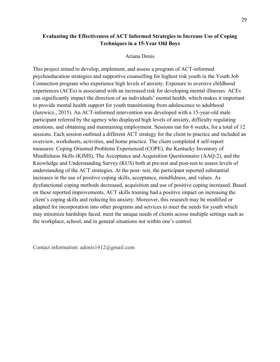# **Evaluating the Effectiveness of ACT Informed Strategies to Increase Use of Coping Techniques in a 15-Year Old Boys**

# Ariana Denis

<span id="page-31-0"></span>This project aimed to develop, implement, and assess a program of ACT-informed psychoeducation strategies and supportive counselling for highest risk youth in the Youth Job Connection program who experience high levels of anxiety. Exposure to aversive childhood experiences (ACEs) is associated with an increased risk for developing mental illnesses. ACEs can significantly impact the direction of an individuals' mental health, which makes it important to provide mental health support for youth transitioning from adolescence to adulthood (Jurewicz., 2015). An ACT-informed intervention was developed with a 15-year-old male participant referred by the agency who displayed high levels of anxiety, difficulty regulating emotions, and obtaining and maintaining employment. Sessions ran for 6 weeks, for a total of 12 sessions. Each session outlined a different ACT strategy for the client to practice and included an overview, worksheets, activities, and home practice. The client completed 4 self-report measures: Coping Oriented Problems Experienced (COPE), the Kentucky Inventory of Mindfulness Skills (KIMS), The Acceptance and Acquisition Questionnaire (AAQ-2), and the Knowledge and Understanding Survey (KUS) both at pre-test and post-test to assess levels of understanding of the ACT strategies. At the post- test, the participant reported substantial increases in the use of positive coping skills, acceptance, mindfulness, and values. As dysfunctional coping methods decreased, acquisition and use of positive coping increased. Based on these reported improvements, ACT skills training had a positive impact on increasing the client's coping skills and reducing his anxiety. Moreover, this research may be modified or adapted for incorporation into other programs and services to meet the needs for youth which may minimize hardships faced. meet the unique needs of clients across multiple settings such as the workplace, school, and in general situations not within one's control.

Contact information: adenis1412@gmail.com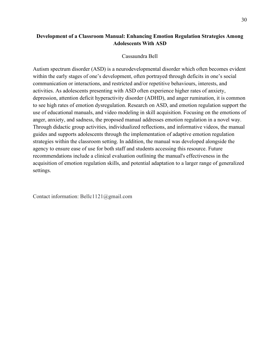# **Development of a Classroom Manual: Enhancing Emotion Regulation Strategies Among Adolescents With ASD**

### Cassaundra Bell

<span id="page-32-0"></span>Autism spectrum disorder (ASD) is a neurodevelopmental disorder which often becomes evident within the early stages of one's development, often portrayed through deficits in one's social communication or interactions, and restricted and/or repetitive behaviours, interests, and activities. As adolescents presenting with ASD often experience higher rates of anxiety, depression, attention deficit hyperactivity disorder (ADHD), and anger rumination, it is common to see high rates of emotion dysregulation. Research on ASD, and emotion regulation support the use of educational manuals, and video modeling in skill acquisition. Focusing on the emotions of anger, anxiety, and sadness, the proposed manual addresses emotion regulation in a novel way. Through didactic group activities, individualized reflections, and informative videos, the manual guides and supports adolescents through the implementation of adaptive emotion regulation strategies within the classroom setting. In addition, the manual was developed alongside the agency to ensure ease of use for both staff and students accessing this resource. Future recommendations include a clinical evaluation outlining the manual's effectiveness in the acquisition of emotion regulation skills, and potential adaptation to a larger range of generalized settings.

Contact information: Bellc1121@gmail.com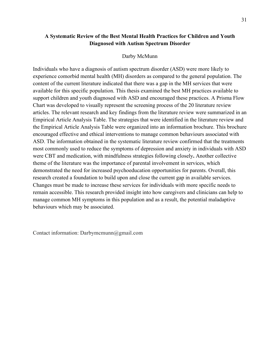# **A Systematic Review of the Best Mental Health Practices for Children and Youth Diagnosed with Autism Spectrum Disorder**

#### Darby McMunn

<span id="page-33-0"></span>Individuals who have a diagnosis of autism spectrum disorder (ASD) were more likely to experience comorbid mental health (MH) disorders as compared to the general population. The content of the current literature indicated that there was a gap in the MH services that were available for this specific population. This thesis examined the best MH practices available to support children and youth diagnosed with ASD and encouraged these practices. A Prisma Flow Chart was developed to visually represent the screening process of the 20 literature review articles. The relevant research and key findings from the literature review were summarized in an Empirical Article Analysis Table. The strategies that were identified in the literature review and the Empirical Article Analysis Table were organized into an information brochure. This brochure encouraged effective and ethical interventions to manage common behaviours associated with ASD. The information obtained in the systematic literature review confirmed that the treatments most commonly used to reduce the symptoms of depression and anxiety in individuals with ASD were CBT and medication, with mindfulness strategies following closely**.** Another collective theme of the literature was the importance of parental involvement in services, which demonstrated the need for increased psychoeducation opportunities for parents. Overall, this research created a foundation to build upon and close the current gap in available services. Changes must be made to increase these services for individuals with more specific needs to remain accessible. This research provided insight into how caregivers and clinicians can help to manage common MH symptoms in this population and as a result, the potential maladaptive behaviours which may be associated.

Contact information: Darbymcmunn@gmail.com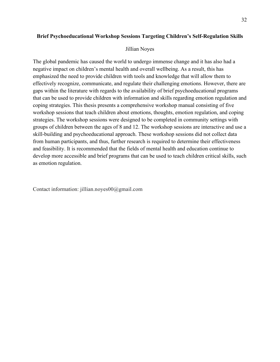# <span id="page-34-0"></span>**Brief Psychoeducational Workshop Sessions Targeting Children's Self-Regulation Skills**

### Jillian Noyes

The global pandemic has caused the world to undergo immense change and it has also had a negative impact on children's mental health and overall wellbeing. As a result, this has emphasized the need to provide children with tools and knowledge that will allow them to effectively recognize, communicate, and regulate their challenging emotions. However, there are gaps within the literature with regards to the availability of brief psychoeducational programs that can be used to provide children with information and skills regarding emotion regulation and coping strategies. This thesis presents a comprehensive workshop manual consisting of five workshop sessions that teach children about emotions, thoughts, emotion regulation, and coping strategies. The workshop sessions were designed to be completed in community settings with groups of children between the ages of 8 and 12. The workshop sessions are interactive and use a skill-building and psychoeducational approach. These workshop sessions did not collect data from human participants, and thus, further research is required to determine their effectiveness and feasibility. It is recommended that the fields of mental health and education continue to develop more accessible and brief programs that can be used to teach children critical skills, such as emotion regulation.

Contact information: jillian.noyes00@gmail.com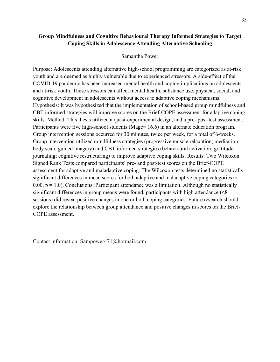# **Group Mindfulness and Cognitive Behavioural Therapy Informed Strategies to Target Coping Skills in Adolescence Attending Alternative Schooling**

### Samantha Power

<span id="page-35-0"></span>Purpose: Adolescents attending alternative high-school programming are categorized as at-risk youth and are deemed as highly vulnerable due to experienced stressors. A side-effect of the COVID-19 pandemic has been increased mental health and coping implications on adolescents and at-risk youth. These stressors can affect mental health, substance use, physical, social, and cognitive development in adolescents without access to adaptive coping mechanisms. Hypothesis: It was hypothesized that the implementation of school-based group mindfulness and CBT informed strategies will improve scores on the Brief-COPE assessment for adaptive coping skills. Method: This thesis utilized a quasi-experimental design, and a pre- post-test assessment. Participants were five high-school students (Mage= 16.6) in an alternate education program. Group intervention sessions occurred for 30 minutes, twice per week, for a total of 6-weeks. Group intervention utilized mindfulness strategies (progressive muscle relaxation; meditation; body scan; guided imagery) and CBT informed strategies (behavioural activation; gratitude journaling; cognitive restructuring) to improve adaptive coping skills. Results: Two Wilcoxon Signed Rank Tests compared participants' pre- and post-test scores on the Brief-COPE assessment for adaptive and maladaptive coping. The Wilcoxon tests determined no statistically significant differences in mean scores for both adaptive and maladaptive coping categories ( $z =$ 0.00,  $p = 1.0$ ). Conclusions: Participant attendance was a limitation. Although no statistically significant differences in group means were found, participants with high attendance (<8 sessions) did reveal positive changes in one or both coping categories. Future research should explore the relationship between group attendance and positive changes in scores on the Brief-COPE assessment.

<span id="page-35-1"></span>Contact information: Sampower471@hotmail.com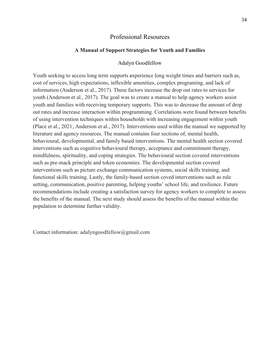### Professional Resources

#### **A Manual of Support Strategies for Youth and Families**

#### Adalyn Goodfellow

<span id="page-36-0"></span>Youth seeking to access long term supports experience long weight times and barriers such as, cost of services, high expectations, inflexible amenities, complex programing, and lack of information (Anderson et al., 2017). These factors increase the drop out rates to services for youth (Anderson et al., 2017). The goal was to create a manual to help agency workers assist youth and families with receiving temporary supports. This was to decrease the amount of drop out rates and increase interaction within programming. Correlations were found between benefits of using intervention techniques within households with increasing engagement within youth (Place et al., 2021; Anderson et al., 2017). Interventions used within the manual we supported by literature and agency resources. The manual contains four sections of, mental health, behavioural, developmental, and family based interventions. The mental health section covered interventions such as cognitive behavioural therapy, acceptance and commitment therapy, mindfulness, spirituality, and coping strategies. The behavioural section covered interventions such as pre-mack principle and token economies. The developmental section covered interventions such as picture exchange communication systems, social skills training, and functional skills training. Lastly, the family-based section coved interventions such as rule setting, communication, positive parenting, helping youths' school life, and resilience. Future recommendations include creating a satisfaction survey for agency workers to complete to assess the benefits of the manual. The next study should assess the benefits of the manual within the population to determine further validity.

Contact information: adalyngoodfellow@gmail.com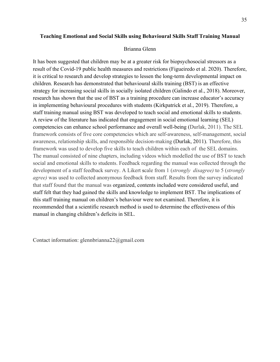### **Teaching Emotional and Social Skills using Behavioural Skills Staff Training Manual**

#### Brianna Glenn

<span id="page-37-0"></span>It has been suggested that children may be at a greater risk for biopsychosocial stressors as a result of the Covid-19 public health measures and restrictions (Figueiredo et al. 2020). Therefore, it is critical to research and develop strategies to lessen the long-term developmental impact on children. Research has demonstrated that behavioural skills training (BST) is an effective strategy for increasing social skills in socially isolated children (Galindo et al., 2018). Moreover, research has shown that the use of BST as a training procedure can increase educator's accuracy in implementing behavioural procedures with students (Kirkpatrick et al., 2019). Therefore, a staff training manual using BST was developed to teach social and emotional skills to students. A review of the literature has indicated that engagement in social emotional learning (SEL) competencies can enhance school performance and overall well-being (Durlak, 2011). The SEL framework consists of five core competencies which are self-awareness, self-management, social awareness, relationship skills, and responsible decision-making (Durlak, 2011). Therefore, this framework was used to develop five skills to teach children within each of the SEL domains. The manual consisted of nine chapters, including videos which modelled the use of BST to teach social and emotional skills to students. Feedback regarding the manual was collected through the development of a staff feedback survey. A Likert scale from 1 (*strongly disagree)* to 5 (*strongly agree)* was used to collected anonymous feedback from staff. Results from the survey indicated that staff found that the manual was organized, contents included were considered useful, and staff felt that they had gained the skills and knowledge to implement BST. The implications of this staff training manual on children's behaviour were not examined. Therefore, it is recommended that a scientific research method is used to determine the effectiveness of this manual in changing children's deficits in SEL.

Contact information: glennbrianna22@gmail.com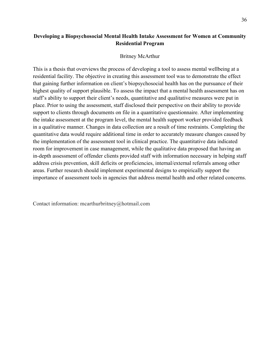# **Developing a Biopsychosocial Mental Health Intake Assessment for Women at Community Residential Program**

#### Britney McArthur

<span id="page-38-0"></span>This is a thesis that overviews the process of developing a tool to assess mental wellbeing at a residential facility. The objective in creating this assessment tool was to demonstrate the effect that gaining further information on client's biopsychosocial health has on the pursuance of their highest quality of support plausible. To assess the impact that a mental health assessment has on staff's ability to support their client's needs, quantitative and qualitative measures were put in place. Prior to using the assessment, staff disclosed their perspective on their ability to provide support to clients through documents on file in a quantitative questionnaire. After implementing the intake assessment at the program level, the mental health support worker provided feedback in a qualitative manner. Changes in data collection are a result of time restraints. Completing the quantitative data would require additional time in order to accurately measure changes caused by the implementation of the assessment tool in clinical practice. The quantitative data indicated room for improvement in case management, while the qualitative data proposed that having an in-depth assessment of offender clients provided staff with information necessary in helping staff address crisis prevention, skill deficits or proficiencies, internal/external referrals among other areas. Further research should implement experimental designs to empirically support the importance of assessment tools in agencies that address mental health and other related concerns.

Contact information: mcarthurbritney@hotmail.com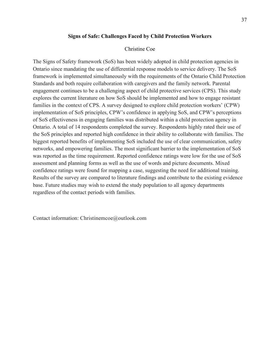### **Signs of Safe: Challenges Faced by Child Protection Workers**

### Christine Coe

<span id="page-39-0"></span>The Signs of Safety framework (SoS) has been widely adopted in child protection agencies in Ontario since mandating the use of differential response models to service delivery. The SoS framework is implemented simultaneously with the requirements of the Ontario Child Protection Standards and both require collaboration with caregivers and the family network. Parental engagement continues to be a challenging aspect of child protective services (CPS). This study explores the current literature on how SoS should be implemented and how to engage resistant families in the context of CPS. A survey designed to explore child protection workers' (CPW) implementation of SoS principles, CPW's confidence in applying SoS, and CPW's perceptions of SoS effectiveness in engaging families was distributed within a child protection agency in Ontario. A total of 14 respondents completed the survey. Respondents highly rated their use of the SoS principles and reported high confidence in their ability to collaborate with families. The biggest reported benefits of implementing SoS included the use of clear communication, safety networks, and empowering families. The most significant barrier to the implementation of SoS was reported as the time requirement. Reported confidence ratings were low for the use of SoS assessment and planning forms as well as the use of words and picture documents. Mixed confidence ratings were found for mapping a case, suggesting the need for additional training. Results of the survey are compared to literature findings and contribute to the existing evidence base. Future studies may wish to extend the study population to all agency departments regardless of the contact periods with families.

Contact information: Christinemcoe@outlook.com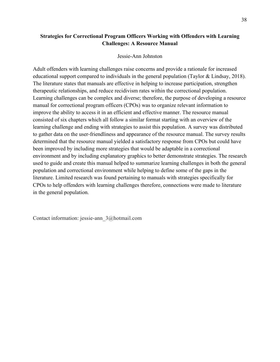# **Strategies for Correctional Program Officers Working with Offenders with Learning Challenges: A Resource Manual**

### Jessie-Ann Johnston

<span id="page-40-0"></span>Adult offenders with learning challenges raise concerns and provide a rationale for increased educational support compared to individuals in the general population (Taylor & Lindsay, 2018). The literature states that manuals are effective in helping to increase participation, strengthen therapeutic relationships, and reduce recidivism rates within the correctional population. Learning challenges can be complex and diverse; therefore, the purpose of developing a resource manual for correctional program officers (CPOs) was to organize relevant information to improve the ability to access it in an efficient and effective manner. The resource manual consisted of six chapters which all follow a similar format starting with an overview of the learning challenge and ending with strategies to assist this population. A survey was distributed to gather data on the user-friendliness and appearance of the resource manual. The survey results determined that the resource manual yielded a satisfactory response from CPOs but could have been improved by including more strategies that would be adaptable in a correctional environment and by including explanatory graphics to better demonstrate strategies. The research used to guide and create this manual helped to summarize learning challenges in both the general population and correctional environment while helping to define some of the gaps in the literature. Limited research was found pertaining to manuals with strategies specifically for CPOs to help offenders with learning challenges therefore, connections were made to literature in the general population.

Contact information: jessie-ann\_3@hotmail.com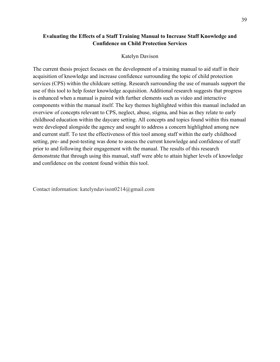# **Evaluating the Effects of a Staff Training Manual to Increase Staff Knowledge and Confidence on Child Protection Services**

#### Katelyn Davison

<span id="page-41-0"></span>The current thesis project focuses on the development of a training manual to aid staff in their acquisition of knowledge and increase confidence surrounding the topic of child protection services (CPS) within the childcare setting. Research surrounding the use of manuals support the use of this tool to help foster knowledge acquisition. Additional research suggests that progress is enhanced when a manual is paired with further elements such as video and interactive components within the manual itself. The key themes highlighted within this manual included an overview of concepts relevant to CPS, neglect, abuse, stigma, and bias as they relate to early childhood education within the daycare setting. All concepts and topics found within this manual were developed alongside the agency and sought to address a concern highlighted among new and current staff. To test the effectiveness of this tool among staff within the early childhood setting, pre- and post-testing was done to assess the current knowledge and confidence of staff prior to and following their engagement with the manual. The results of this research demonstrate that through using this manual, staff were able to attain higher levels of knowledge and confidence on the content found within this tool.

Contact information: katelyndavison0214@gmail.com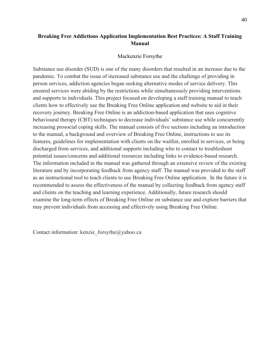# **Breaking Free Addictions Application Implementation Best Practices: A Staff Training Manual**

#### Mackenzie Forsythe

<span id="page-42-0"></span>Substance use disorder (SUD) is one of the many disorders that resulted in an increase due to the pandemic. To combat the issue of increased substance use and the challenge of providing in person services, addiction agencies began seeking alternative modes of service delivery. This ensured services were abiding by the restrictions while simultaneously providing interventions and supports to individuals. This project focused on developing a staff training manual to teach clients how to effectively use the Breaking Free Online application and website to aid in their recovery journey. Breaking Free Online is an addiction-based application that uses cognitive behavioural therapy (CBT) techniques to decrease individuals' substance use while concurrently increasing prosocial coping skills. The manual consists of five sections including an introduction to the manual, a background and overview of Breaking Free Online, instructions to use its features, guidelines for implementation with clients on the waitlist, enrolled in services, or being discharged from services, and additional supports including who to contact to troubleshoot potential issues/concerns and additional resources including links to evidence-based research. The information included in the manual was gathered through an extensive review of the existing literature and by incorporating feedback from agency staff. The manual was provided to the staff as an instructional tool to teach clients to use Breaking Free Online application. In the future it is recommended to assess the effectiveness of the manual by collecting feedback from agency staff and clients on the teaching and learning experience. Additionally, future research should examine the long-term effects of Breaking Free Online on substance use and explore barriers that may prevent individuals from accessing and effectively using Breaking Free Online.

Contact information: kenzie forsythe $@y$ ahoo.ca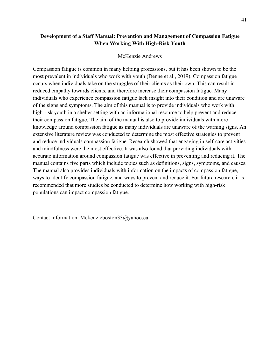# **Development of a Staff Manual: Prevention and Management of Compassion Fatigue When Working With High-Risk Youth**

### McKenzie Andrews

<span id="page-43-0"></span>Compassion fatigue is common in many helping professions, but it has been shown to be the most prevalent in individuals who work with youth (Denne et al., 2019). Compassion fatigue occurs when individuals take on the struggles of their clients as their own. This can result in reduced empathy towards clients, and therefore increase their compassion fatigue. Many individuals who experience compassion fatigue lack insight into their condition and are unaware of the signs and symptoms. The aim of this manual is to provide individuals who work with high-risk youth in a shelter setting with an informational resource to help prevent and reduce their compassion fatigue. The aim of the manual is also to provide individuals with more knowledge around compassion fatigue as many individuals are unaware of the warning signs. An extensive literature review was conducted to determine the most effective strategies to prevent and reduce individuals compassion fatigue. Research showed that engaging in self-care activities and mindfulness were the most effective. It was also found that providing individuals with accurate information around compassion fatigue was effective in preventing and reducing it. The manual contains five parts which include topics such as definitions, signs, symptoms, and causes. The manual also provides individuals with information on the impacts of compassion fatigue, ways to identify compassion fatigue, and ways to prevent and reduce it. For future research, it is recommended that more studies be conducted to determine how working with high-risk populations can impact compassion fatigue.

Contact information: Mckenzieboston33@yahoo.ca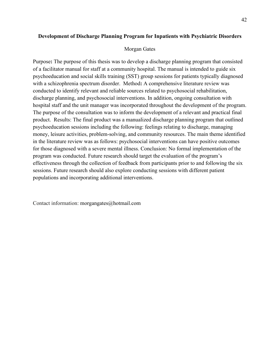# <span id="page-44-0"></span>**Development of Discharge Planning Program for Inpatients with Psychiatric Disorders**

#### Morgan Gates

Purpose**:** The purpose of this thesis was to develop a discharge planning program that consisted of a facilitator manual for staff at a community hospital. The manual is intended to guide six psychoeducation and social skills training (SST) group sessions for patients typically diagnosed with a schizophrenia spectrum disorder. Method**:** A comprehensive literature review was conducted to identify relevant and reliable sources related to psychosocial rehabilitation, discharge planning, and psychosocial interventions. In addition, ongoing consultation with hospital staff and the unit manager was incorporated throughout the development of the program. The purpose of the consultation was to inform the development of a relevant and practical final product. Results: The final product was a manualized discharge planning program that outlined psychoeducation sessions including the following: feelings relating to discharge, managing money, leisure activities, problem-solving, and community resources. The main theme identified in the literature review was as follows: psychosocial interventions can have positive outcomes for those diagnosed with a severe mental illness. Conclusion: No formal implementation of the program was conducted. Future research should target the evaluation of the program's effectiveness through the collection of feedback from participants prior to and following the six sessions. Future research should also explore conducting sessions with different patient populations and incorporating additional interventions.

<span id="page-44-1"></span>Contact information: morgangates@hotmail.com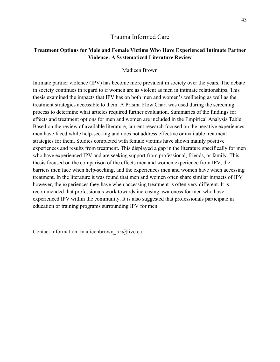# Trauma Informed Care

# **Treatment Options for Male and Female Victims Who Have Experienced Intimate Partner Violence: A Systematized Literature Review**

### Madicen Brown

<span id="page-45-0"></span>Intimate partner violence (IPV) has become more prevalent in society over the years. The debate in society continues in regard to if women are as violent as men in intimate relationships. This thesis examined the impacts that IPV has on both men and women's wellbeing as well as the treatment strategies accessible to them. A Prisma Flow Chart was used during the screening process to determine what articles required further evaluation. Summaries of the findings for effects and treatment options for men and women are included in the Empirical Analysis Table. Based on the review of available literature, current research focused on the negative experiences men have faced while help-seeking and does not address effective or available treatment strategies for them. Studies completed with female victims have shown mainly positive experiences and results from treatment. This displayed a gap in the literature specifically for men who have experienced IPV and are seeking support from professional, friends, or family. This thesis focused on the comparison of the effects men and women experience from IPV, the barriers men face when help-seeking, and the experiences men and women have when accessing treatment. In the literature it was found that men and women often share similar impacts of IPV however, the experiences they have when accessing treatment is often very different. It is recommended that professionals work towards increasing awareness for men who have experienced IPV within the community. It is also suggested that professionals participate in education or training programs surrounding IPV for men.

Contact information: madicenbrown\_55@live.ca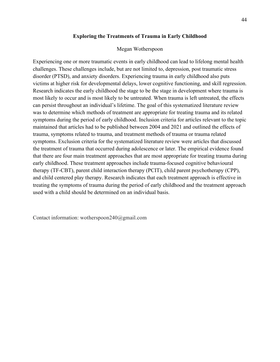### **Exploring the Treatments of Trauma in Early Childhood**

### Megan Wotherspoon

<span id="page-46-0"></span>Experiencing one or more traumatic events in early childhood can lead to lifelong mental health challenges. These challenges include, but are not limited to, depression, post traumatic stress disorder (PTSD), and anxiety disorders. Experiencing trauma in early childhood also puts victims at higher risk for developmental delays, lower cognitive functioning, and skill regression. Research indicates the early childhood the stage to be the stage in development where trauma is most likely to occur and is most likely to be untreated. When trauma is left untreated, the effects can persist throughout an individual's lifetime. The goal of this systematized literature review was to determine which methods of treatment are appropriate for treating trauma and its related symptoms during the period of early childhood. Inclusion criteria for articles relevant to the topic maintained that articles had to be published between 2004 and 2021 and outlined the effects of trauma, symptoms related to trauma, and treatment methods of trauma or trauma related symptoms. Exclusion criteria for the systematized literature review were articles that discussed the treatment of trauma that occurred during adolescence or later. The empirical evidence found that there are four main treatment approaches that are most appropriate for treating trauma during early childhood. These treatment approaches include trauma-focused cognitive behavioural therapy (TF-CBT), parent child interaction therapy (PCIT), child parent psychotherapy (CPP), and child centered play therapy. Research indicates that each treatment approach is effective in treating the symptoms of trauma during the period of early childhood and the treatment approach used with a child should be determined on an individual basis.

Contact information: wotherspoon240@gmail.com